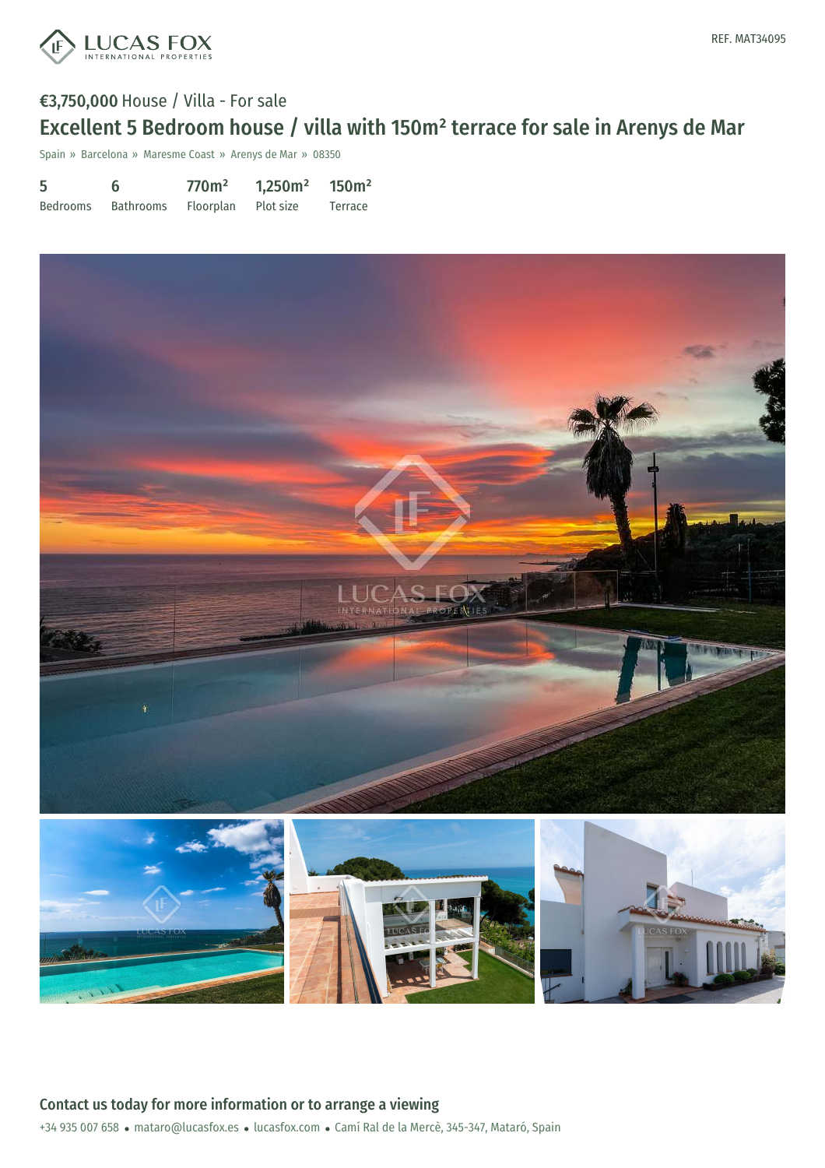

## €3,750,000 House / Villa - For sale Excellent 5 Bedroom house / villa with 150m² terrace for sale in Arenys de Mar

Spain » Barcelona » Maresme Coast » Arenys de Mar » 08350

| 5        | 6         | 770 <sup>m²</sup> | 1,250m <sup>2</sup> | 150m <sup>2</sup> |
|----------|-----------|-------------------|---------------------|-------------------|
| Bedrooms | Bathrooms | Floorplan         | Plot size           | Terrace           |

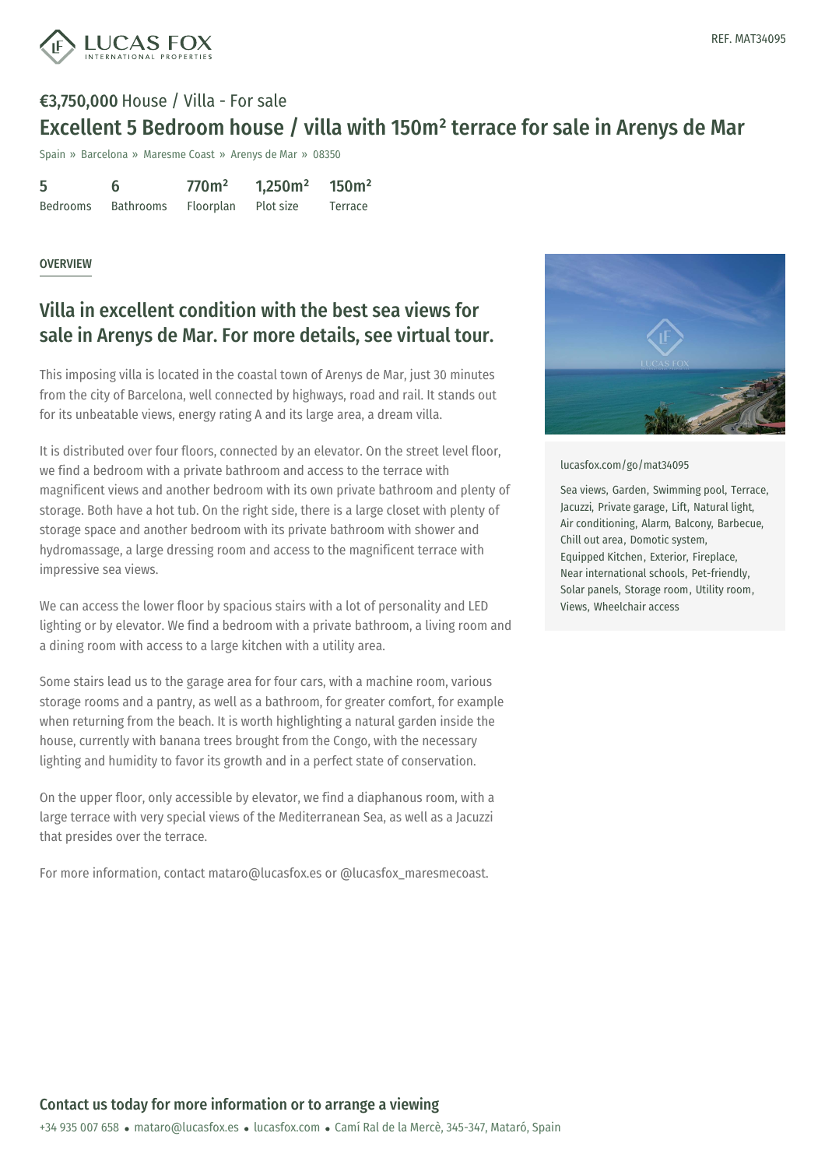

# €3,750,000 House / Villa - For sale Excellent 5 Bedroom house / villa with 150m² terrace for sale in Arenys de Mar

Spain » Barcelona » Maresme Coast » Arenys de Mar » 08350

| 5               | 6                | 770 <sup>m²</sup> | 1,250m <sup>2</sup> | 150m <sup>2</sup> |
|-----------------|------------------|-------------------|---------------------|-------------------|
| <b>Bedrooms</b> | <b>Bathrooms</b> | Floorplan         | Plot size           | Terrace           |

### **OVERVIEW**

## Villa in excellent condition with the best sea views for sale in Arenys de Mar. For more details, see virtual tour.

This imposing villa is located in the coastal town of Arenys de Mar, just 30 minutes from the city of Barcelona, well connected by highways, road and rail. It stands out for its unbeatable views, energy rating A and its large area, a dream villa.

It is distributed over four floors, connected by an elevator. On the street level floor, we find a bedroom with a private bathroom and access to the terrace with magnificent views and another bedroom with its own private bathroom and plenty of storage. Both have a hot tub. On the right side, there is a large closet with plenty of storage space and another bedroom with its private bathroom with shower and hydromassage, a large dressing room and access to the magnificent terrace with impressive sea views.

We can access the lower floor by spacious stairs with a lot of personality and LED lighting or by elevator. We find a bedroom with a private bathroom, a living room and a dining room with access to a large kitchen with a utility area.

Some stairs lead us to the garage area for four cars, with a machine room, various storage rooms and a pantry, as well as a bathroom, for greater comfort, for example when returning from the beach. It is worth highlighting a natural garden inside the house, currently with banana trees brought from the Congo, with the necessary lighting and humidity to favor its growth and in a perfect state of conservation.

On the upper floor, only accessible by elevator, we find a diaphanous room, with a large terrace with very special views of the Mediterranean Sea, as well as a Jacuzzi that presides over the terrace.

For more information, [contact](mailto:mataro@lucasfox.es) mataro[@lucasfox.es](https://www.lucasfox.com) or @lucasfox\_maresmecoast.



#### [lucasfox.com/go/mat34095](https://www.lucasfox.com/go/mat34095)

Sea views, Garden, Swimming pool, Terrace, Jacuzzi, Private garage, Lift, Natural light, Air conditioning, Alarm, Balcony, Barbecue, Chill out area, Domotic system, Equipped Kitchen, Exterior, Fireplace, Near international schools, Pet-friendly, Solar panels, Storage room, Utility room, Views, Wheelchair access